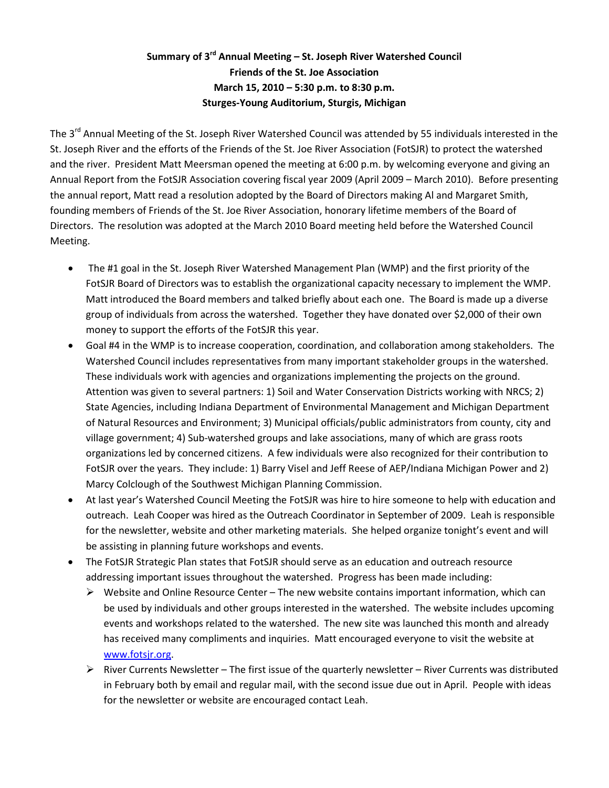## **Summary of 3rd Annual Meeting – St. Joseph River Watershed Council Friends of the St. Joe Association March 15, 2010 – 5:30 p.m. to 8:30 p.m. Sturges-Young Auditorium, Sturgis, Michigan**

The 3<sup>rd</sup> Annual Meeting of the St. Joseph River Watershed Council was attended by 55 individuals interested in the St. Joseph River and the efforts of the Friends of the St. Joe River Association (FotSJR) to protect the watershed and the river. President Matt Meersman opened the meeting at 6:00 p.m. by welcoming everyone and giving an Annual Report from the FotSJR Association covering fiscal year 2009 (April 2009 – March 2010). Before presenting the annual report, Matt read a resolution adopted by the Board of Directors making Al and Margaret Smith, founding members of Friends of the St. Joe River Association, honorary lifetime members of the Board of Directors. The resolution was adopted at the March 2010 Board meeting held before the Watershed Council Meeting.

- The #1 goal in the St. Joseph River Watershed Management Plan (WMP) and the first priority of the FotSJR Board of Directors was to establish the organizational capacity necessary to implement the WMP. Matt introduced the Board members and talked briefly about each one. The Board is made up a diverse group of individuals from across the watershed. Together they have donated over \$2,000 of their own money to support the efforts of the FotSJR this year.
- Goal #4 in the WMP is to increase cooperation, coordination, and collaboration among stakeholders. The Watershed Council includes representatives from many important stakeholder groups in the watershed. These individuals work with agencies and organizations implementing the projects on the ground. Attention was given to several partners: 1) Soil and Water Conservation Districts working with NRCS; 2) State Agencies, including Indiana Department of Environmental Management and Michigan Department of Natural Resources and Environment; 3) Municipal officials/public administrators from county, city and village government; 4) Sub-watershed groups and lake associations, many of which are grass roots organizations led by concerned citizens. A few individuals were also recognized for their contribution to FotSJR over the years. They include: 1) Barry Visel and Jeff Reese of AEP/Indiana Michigan Power and 2) Marcy Colclough of the Southwest Michigan Planning Commission.
- At last year's Watershed Council Meeting the FotSJR was hire to hire someone to help with education and outreach. Leah Cooper was hired as the Outreach Coordinator in September of 2009. Leah is responsible for the newsletter, website and other marketing materials. She helped organize tonight's event and will be assisting in planning future workshops and events.
- The FotSJR Strategic Plan states that FotSJR should serve as an education and outreach resource addressing important issues throughout the watershed. Progress has been made including:
	- $\triangleright$  Website and Online Resource Center The new website contains important information, which can be used by individuals and other groups interested in the watershed. The website includes upcoming events and workshops related to the watershed. The new site was launched this month and already has received many compliments and inquiries. Matt encouraged everyone to visit the website at [www.fotsjr.org.](http://www.fotsjr.org/)
	- $\triangleright$  River Currents Newsletter The first issue of the quarterly newsletter River Currents was distributed in February both by email and regular mail, with the second issue due out in April. People with ideas for the newsletter or website are encouraged contact Leah.